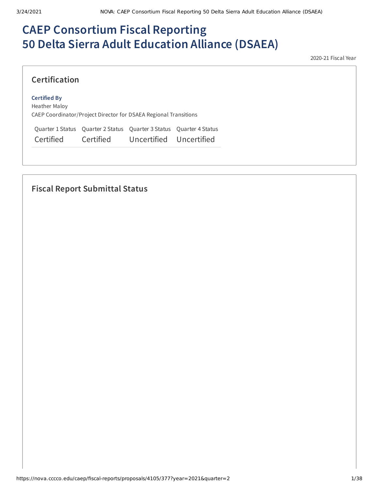# **CAEP Consortium Fiscal Reporting 50 Delta Sierra Adult Education Alliance (DSAEA)**

2020-21 Fiscal Year

### **Certification**

#### **Certified By**

Heather Maloy CAEP Coordinator/Project Director for DSAEA Regional Transitions

Quarter 1 Status Quarter 2 Status Quarter 3 Status Quarter 4 Status Certified Certified Uncertified Uncertified

## **Fiscal Report Submittal Status**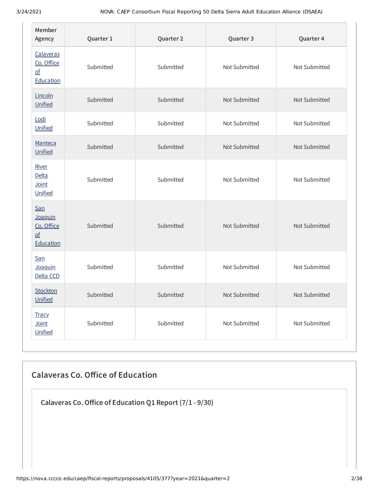| Member<br>Agency                                                  | Quarter 1 | Quarter 2 | Quarter 3     |               |
|-------------------------------------------------------------------|-----------|-----------|---------------|---------------|
| Calaveras<br>Co. Office<br>$\underline{\mathsf{of}}$<br>Education | Submitted | Submitted | Not Submitted | Not Submitted |
| Lincoln<br>Unified                                                | Submitted | Submitted | Not Submitted | Not Submitted |
| Lodi<br>Unified                                                   | Submitted | Submitted | Not Submitted | Not Submitted |
| Manteca<br>Unified                                                | Submitted | Submitted | Not Submitted | Not Submitted |
| River<br><b>Delta</b><br>Joint<br>Unified                         | Submitted | Submitted | Not Submitted | Not Submitted |
| San<br>Joaquin<br>Co. Office<br>$\overline{of}$<br>Education      | Submitted | Submitted | Not Submitted | Not Submitted |
| San<br>Joaquin<br>Delta CCD                                       | Submitted | Submitted | Not Submitted | Not Submitted |
| Stockton<br>Unified                                               | Submitted | Submitted | Not Submitted | Not Submitted |
| <b>Tracy</b><br>Joint<br>Unified                                  | Submitted | Submitted | Not Submitted | Not Submitted |

## **Calaveras Co. Oice of Education**

**Calaveras Co.Oice of Education Q1 Report (7/1 - 9/30)**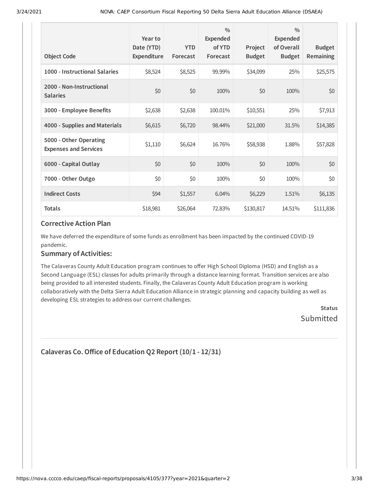| <b>Object Code</b>                                     | Year to<br>Date (YTD)<br>Expenditure | <b>YTD</b><br>Forecast | $\frac{0}{0}$<br><b>Expended</b><br>of YTD<br>Forecast | Project<br><b>Budget</b> | $\frac{0}{0}$<br>Expended<br>of Overall<br><b>Budget</b> | <b>Budget</b><br>Remaining |
|--------------------------------------------------------|--------------------------------------|------------------------|--------------------------------------------------------|--------------------------|----------------------------------------------------------|----------------------------|
| 1000 - Instructional Salaries                          | \$8,524                              | \$8,525                | 99.99%                                                 | \$34,099                 | 25%                                                      | \$25,575                   |
| 2000 - Non-Instructional<br><b>Salaries</b>            | \$0                                  | \$0                    | 100%                                                   | \$0                      | 100%                                                     | \$0                        |
| 3000 - Employee Benefits                               | \$2,638                              | \$2,638                | 100.01%                                                | \$10,551                 | 25%                                                      | \$7,913                    |
| 4000 - Supplies and Materials                          | \$6,615                              | \$6,720                | 98.44%                                                 | \$21,000                 | 31.5%                                                    | \$14,385                   |
| 5000 - Other Operating<br><b>Expenses and Services</b> | \$1,110                              | \$6,624                | 16.76%                                                 | \$58,938                 | 1.88%                                                    | \$57,828                   |
| 6000 - Capital Outlay                                  | \$0                                  | \$0                    | 100%                                                   | \$0                      | 100%                                                     | \$0                        |
| 7000 - Other Outgo                                     | \$0                                  | \$0                    | 100%                                                   | \$0                      | 100%                                                     | \$0\$                      |
| <b>Indirect Costs</b>                                  | \$94                                 | \$1,557                | 6.04%                                                  | \$6,229                  | 1.51%                                                    | \$6,135                    |
| <b>Totals</b>                                          | \$18,981                             | \$26,064               | 72.83%                                                 | \$130,817                | 14.51%                                                   | \$111,836                  |

We have deferred the expenditure of some funds as enrollment has been impacted by the continued COVID-19 pandemic.

### **Summary of Activities:**

The Calaveras County Adult Education program continues to offer High School Diploma (HSD) and English as a Second Language (ESL) classes for adults primarily through a distance learning format. Transition services are also being provided to all interested students. Finally, the Calaveras County Adult Education program is working collaboratively with the Delta Sierra Adult Education Alliance in strategic planning and capacity building as well as developing ESL strategies to address our current challenges.

> **Status** Submitted

```
Calaveras Co.Oice of Education Q2 Report (10/1 - 12/31)
```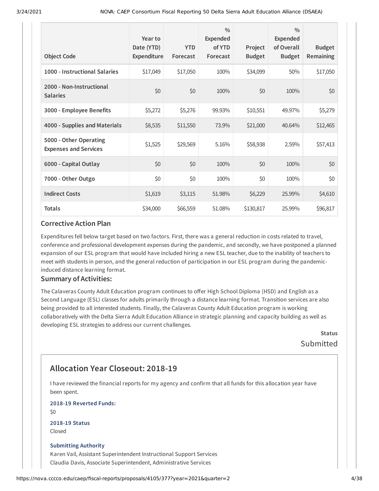| <b>Object Code</b>                                     | Year to<br>Date (YTD)<br>Expenditure | <b>YTD</b><br>Forecast | $\frac{0}{0}$<br><b>Expended</b><br>of YTD<br>Forecast | Project<br><b>Budget</b> | $\frac{0}{0}$<br><b>Expended</b><br>of Overall<br><b>Budget</b> | <b>Budget</b><br><b>Remaining</b> |
|--------------------------------------------------------|--------------------------------------|------------------------|--------------------------------------------------------|--------------------------|-----------------------------------------------------------------|-----------------------------------|
| 1000 - Instructional Salaries                          | \$17,049                             | \$17,050               | 100%                                                   | \$34,099                 | 50%                                                             | \$17,050                          |
| 2000 - Non-Instructional<br><b>Salaries</b>            | \$0                                  | \$0                    | 100%                                                   | \$0                      | 100%                                                            | \$0                               |
| 3000 - Employee Benefits                               | \$5,272                              | \$5,276                | 99.93%                                                 | \$10,551                 | 49.97%                                                          | \$5,279                           |
| 4000 - Supplies and Materials                          | \$8,535                              | \$11,550               | 73.9%                                                  | \$21,000                 | 40.64%                                                          | \$12,465                          |
| 5000 - Other Operating<br><b>Expenses and Services</b> | \$1,525                              | \$29,569               | 5.16%                                                  | \$58,938                 | 2.59%                                                           | \$57,413                          |
| 6000 - Capital Outlay                                  | \$0                                  | \$0                    | 100%                                                   | \$0                      | 100%                                                            | \$0                               |
| 7000 - Other Outgo                                     | \$0                                  | \$0                    | 100%                                                   | \$0                      | 100%                                                            | \$0                               |
| <b>Indirect Costs</b>                                  | \$1,619                              | \$3,115                | 51.98%                                                 | \$6,229                  | 25.99%                                                          | \$4,610                           |
| <b>Totals</b>                                          | \$34,000                             | \$66,559               | 51.08%                                                 | \$130,817                | 25.99%                                                          | \$96,817                          |

Expenditures fell below target based on two factors. First, there was a general reduction in costs related to travel, conference and professional development expenses during the pandemic, and secondly, we have postponed a planned expansion of our ESL program that would have included hiring a new ESL teacher, due to the inability of teachers to meet with students in person, and the general reduction of participation in our ESL program during the pandemicinduced distance learning format.

#### **Summary of Activities:**

The Calaveras County Adult Education program continues to offer High School Diploma (HSD) and English as a Second Language (ESL) classes for adults primarily through a distance learning format. Transition services are also being provided to all interested students. Finally, the Calaveras County Adult Education program is working collaboratively with the Delta Sierra Adult Education Alliance in strategic planning and capacity building as well as developing ESL strategies to address our current challenges.

> **Status** Submitted

## **Allocation Year Closeout: 2018-19**

I have reviewed the financial reports for my agency and confirm that all funds for this allocation year have been spent.

**2018-19 Reverted Funds:**

 $$0$$ 

**2018-19 Status** Closed

#### **Submitting Authority**

Karen Vail, Assistant Superintendent Instructional Support Services Claudia Davis, Associate Superintendent, Administrative Services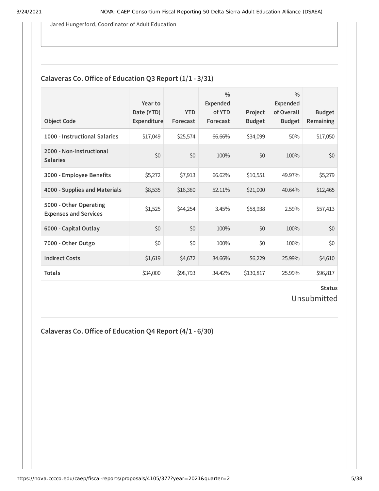Jared Hungerford, Coordinator of Adult Education

### **Calaveras Co. Office of Education Q3 Report**  $(1/1 - 3/31)$

| <b>Object Code</b>                                     | Year to<br>Date (YTD)<br>Expenditure | <b>YTD</b><br>Forecast | $\frac{0}{0}$<br><b>Expended</b><br>of YTD<br>Forecast | Project<br><b>Budget</b> | $\frac{0}{0}$<br>Expended<br>of Overall<br><b>Budget</b> | <b>Budget</b><br><b>Remaining</b> |
|--------------------------------------------------------|--------------------------------------|------------------------|--------------------------------------------------------|--------------------------|----------------------------------------------------------|-----------------------------------|
| 1000 - Instructional Salaries                          | \$17,049                             | \$25,574               | 66.66%                                                 | \$34,099                 | 50%                                                      | \$17,050                          |
| 2000 - Non-Instructional<br><b>Salaries</b>            | \$0                                  | \$0                    | 100%                                                   | \$0                      | 100%                                                     | \$0                               |
| 3000 - Employee Benefits                               | \$5,272                              | \$7,913                | 66.62%                                                 | \$10,551                 | 49.97%                                                   | \$5,279                           |
| 4000 - Supplies and Materials                          | \$8,535                              | \$16,380               | 52.11%                                                 | \$21,000                 | 40.64%                                                   | \$12,465                          |
| 5000 - Other Operating<br><b>Expenses and Services</b> | \$1,525                              | \$44,254               | 3.45%                                                  | \$58,938                 | 2.59%                                                    | \$57,413                          |
| 6000 - Capital Outlay                                  | \$0                                  | \$0                    | 100%                                                   | \$0                      | 100%                                                     | \$0                               |
| 7000 - Other Outgo                                     | \$0                                  | \$0                    | 100%                                                   | \$0                      | 100%                                                     | \$0\$                             |
| <b>Indirect Costs</b>                                  | \$1,619                              | \$4,672                | 34.66%                                                 | \$6,229                  | 25.99%                                                   | \$4,610                           |
| <b>Totals</b>                                          | \$34,000                             | \$98,793               | 34.42%                                                 | \$130,817                | 25.99%                                                   | \$96,817                          |

**Status** Unsubmitted

**Calaveras Co.Oice of Education Q4 Report (4/1 - 6/30)**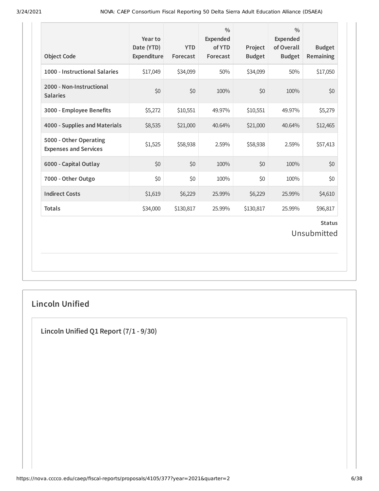| <b>Object Code</b>                                     | Year to<br>Date (YTD)<br>Expenditure | <b>YTD</b><br>Forecast | $\frac{0}{0}$<br>Expended<br>of YTD<br>Forecast | Project<br><b>Budget</b> | $\frac{0}{0}$<br><b>Expended</b><br>of Overall<br><b>Budget</b> | <b>Budget</b><br>Remaining |  |
|--------------------------------------------------------|--------------------------------------|------------------------|-------------------------------------------------|--------------------------|-----------------------------------------------------------------|----------------------------|--|
| 1000 - Instructional Salaries                          | \$17,049                             | \$34,099               | 50%                                             | \$34,099                 | 50%                                                             | \$17,050                   |  |
| 2000 - Non-Instructional<br><b>Salaries</b>            | \$0                                  | \$0                    | 100%                                            | \$0                      | 100%                                                            | \$0                        |  |
| 3000 - Employee Benefits                               | \$5,272                              | \$10,551               | 49.97%                                          | \$10,551                 | 49.97%                                                          | \$5,279                    |  |
| 4000 - Supplies and Materials                          | \$8,535                              | \$21,000               | 40.64%                                          | \$21,000                 | 40.64%                                                          | \$12,465                   |  |
| 5000 - Other Operating<br><b>Expenses and Services</b> | \$1,525                              | \$58,938               | 2.59%                                           | \$58,938                 | 2.59%                                                           | \$57,413                   |  |
| 6000 - Capital Outlay                                  | \$0                                  | \$0                    | 100%                                            | \$0                      | 100%                                                            | \$0                        |  |
| 7000 - Other Outgo                                     | \$0                                  | \$0                    | 100%                                            | \$0                      | 100%                                                            | \$0                        |  |
| <b>Indirect Costs</b>                                  | \$1,619                              | \$6,229                | 25.99%                                          | \$6,229                  | 25.99%                                                          | \$4,610                    |  |
| <b>Totals</b>                                          | \$34,000                             | \$130,817              | 25.99%                                          | \$130,817                | 25.99%                                                          | \$96,817                   |  |
| <b>Status</b><br>Unsubmitted                           |                                      |                        |                                                 |                          |                                                                 |                            |  |

## **Lincoln Unified**

**Lincoln Unified Q1 Report (7/1 - 9/30)**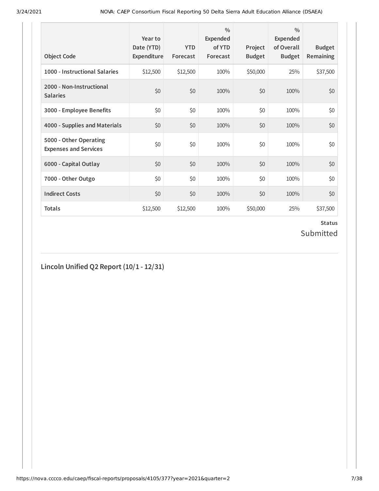| <b>Object Code</b>                                     | Year to<br>Date (YTD)<br>Expenditure | <b>YTD</b><br>Forecast | $\frac{0}{0}$<br>Expended<br>of YTD<br>Forecast | Project<br><b>Budget</b> | $\frac{0}{0}$<br>Expended<br>of Overall<br><b>Budget</b> | <b>Budget</b><br>Remaining |
|--------------------------------------------------------|--------------------------------------|------------------------|-------------------------------------------------|--------------------------|----------------------------------------------------------|----------------------------|
| 1000 - Instructional Salaries                          | \$12,500                             | \$12,500               | 100%                                            | \$50,000                 | 25%                                                      | \$37,500                   |
| 2000 - Non-Instructional<br><b>Salaries</b>            | \$0                                  | \$0                    | 100%                                            | \$0                      | 100%                                                     | \$0                        |
| 3000 - Employee Benefits                               | \$0                                  | \$0                    | 100%                                            | \$0                      | 100%                                                     | \$0                        |
| 4000 - Supplies and Materials                          | \$0                                  | \$0                    | 100%                                            | \$0                      | 100%                                                     | \$0                        |
| 5000 - Other Operating<br><b>Expenses and Services</b> | \$0                                  | \$0                    | 100%                                            | \$0                      | 100%                                                     | \$0                        |
| 6000 - Capital Outlay                                  | \$0                                  | \$0                    | 100%                                            | \$0                      | 100%                                                     | \$0                        |
| 7000 - Other Outgo                                     | \$0                                  | \$0                    | 100%                                            | \$0                      | 100%                                                     | \$0                        |
| <b>Indirect Costs</b>                                  | \$0                                  | \$0                    | 100%                                            | \$0                      | 100%                                                     | \$0                        |
| <b>Totals</b>                                          | \$12,500                             | \$12,500               | 100%                                            | \$50,000                 | 25%                                                      | \$37,500                   |

### **Status** Submitted

## **Lincoln Unified Q2 Report (10/1 - 12/31)**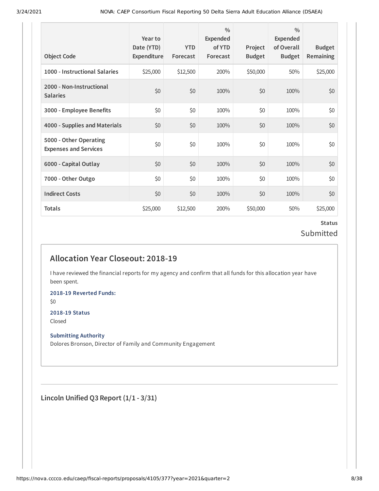| <b>Object Code</b>                                     | Year to<br>Date (YTD)<br>Expenditure | <b>YTD</b><br>Forecast | $\frac{0}{0}$<br>Expended<br>of YTD<br>Forecast | Project<br><b>Budget</b> | $\frac{0}{0}$<br>Expended<br>of Overall<br><b>Budget</b> | <b>Budget</b><br><b>Remaining</b> |
|--------------------------------------------------------|--------------------------------------|------------------------|-------------------------------------------------|--------------------------|----------------------------------------------------------|-----------------------------------|
| 1000 - Instructional Salaries                          | \$25,000                             | \$12,500               | 200%                                            | \$50,000                 | 50%                                                      | \$25,000                          |
| 2000 - Non-Instructional<br><b>Salaries</b>            | \$0                                  | \$0                    | 100%                                            | \$0                      | 100%                                                     | \$0                               |
| 3000 - Employee Benefits                               | \$0                                  | \$0                    | 100%                                            | \$0                      | 100%                                                     | \$0\$                             |
| 4000 - Supplies and Materials                          | \$0                                  | \$0                    | 100%                                            | \$0                      | 100%                                                     | \$0                               |
| 5000 - Other Operating<br><b>Expenses and Services</b> | \$0                                  | \$0                    | 100%                                            | \$0                      | 100%                                                     | \$0                               |
| 6000 - Capital Outlay                                  | \$0                                  | \$0                    | 100%                                            | \$0                      | 100%                                                     | \$0                               |
| 7000 - Other Outgo                                     | \$0                                  | \$0                    | 100%                                            | \$0                      | 100%                                                     | \$0\$                             |
| <b>Indirect Costs</b>                                  | \$0                                  | \$0                    | 100%                                            | \$0                      | 100%                                                     | \$0                               |
| <b>Totals</b>                                          | \$25,000                             | \$12,500               | 200%                                            | \$50,000                 | 50%                                                      | \$25,000                          |

### **Status** Submitted

## **Allocation Year Closeout: 2018-19**

I have reviewed the financial reports for my agency and confirm that all funds for this allocation year have been spent.

**2018-19 Reverted Funds:**

\$0

#### **2018-19 Status**

Closed

#### **Submitting Authority**

Dolores Bronson, Director of Family and Community Engagement

**Lincoln Unified Q3 Report (1/1 - 3/31)**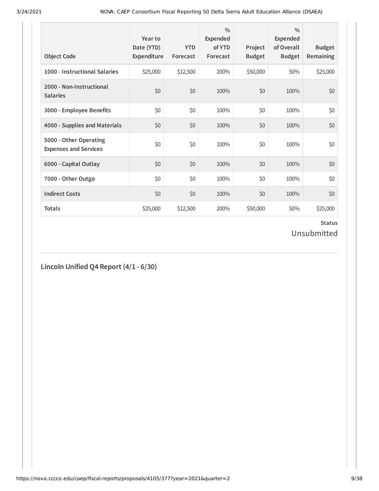| <b>Object Code</b>                                     | Year to<br>Date (YTD)<br>Expenditure | <b>YTD</b><br>Forecast | $\frac{0}{0}$<br>Expended<br>of YTD<br>Forecast | Project<br><b>Budget</b> | $\frac{0}{0}$<br>Expended<br>of Overall<br><b>Budget</b> | <b>Budget</b><br>Remaining |
|--------------------------------------------------------|--------------------------------------|------------------------|-------------------------------------------------|--------------------------|----------------------------------------------------------|----------------------------|
| 1000 - Instructional Salaries                          | \$25,000                             | \$12,500               | 200%                                            | \$50,000                 | 50%                                                      | \$25,000                   |
| 2000 - Non-Instructional<br><b>Salaries</b>            | \$0                                  | \$0                    | 100%                                            | \$0                      | 100%                                                     | \$0                        |
| 3000 - Employee Benefits                               | \$0                                  | \$0                    | 100%                                            | \$0                      | 100%                                                     | \$0                        |
| 4000 - Supplies and Materials                          | \$0                                  | \$0                    | 100%                                            | \$0                      | 100%                                                     | \$0                        |
| 5000 - Other Operating<br><b>Expenses and Services</b> | \$0                                  | \$0                    | 100%                                            | \$0                      | 100%                                                     | \$0                        |
| 6000 - Capital Outlay                                  | \$0                                  | \$0                    | 100%                                            | \$0                      | 100%                                                     | \$0                        |
| 7000 - Other Outgo                                     | \$0                                  | \$0                    | 100%                                            | \$0                      | 100%                                                     | \$0                        |
| <b>Indirect Costs</b>                                  | \$0                                  | \$0                    | 100%                                            | \$0                      | 100%                                                     | \$0                        |
| <b>Totals</b>                                          | \$25,000                             | \$12,500               | 200%                                            | \$50,000                 | 50%                                                      | \$25,000                   |

### **Status** Unsubmitted

## **Lincoln Unified Q4 Report (4/1 - 6/30)**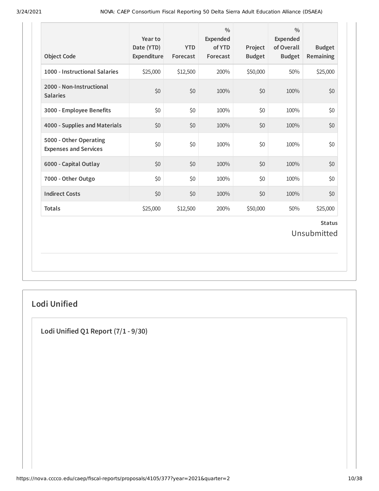| <b>Object Code</b>                                     | Year to<br>Date (YTD)<br>Expenditure | <b>YTD</b><br>Forecast | $\frac{0}{0}$<br>Expended<br>of YTD<br>Forecast | Project<br><b>Budget</b> | $\frac{0}{0}$<br>Expended<br>of Overall<br><b>Budget</b> | <b>Budget</b><br>Remaining   |
|--------------------------------------------------------|--------------------------------------|------------------------|-------------------------------------------------|--------------------------|----------------------------------------------------------|------------------------------|
| 1000 - Instructional Salaries                          | \$25,000                             | \$12,500               | 200%                                            | \$50,000                 | 50%                                                      | \$25,000                     |
| 2000 - Non-Instructional<br><b>Salaries</b>            | \$0                                  | \$0                    | 100%                                            | \$0                      | 100%                                                     | \$0                          |
| 3000 - Employee Benefits                               | \$0                                  | \$0                    | 100%                                            | \$0                      | 100%                                                     | \$0                          |
| 4000 - Supplies and Materials                          | \$0                                  | \$0                    | 100%                                            | \$0                      | 100%                                                     | \$0                          |
| 5000 - Other Operating<br><b>Expenses and Services</b> | \$0                                  | \$0                    | 100%                                            | \$0                      | 100%                                                     | \$0                          |
| 6000 - Capital Outlay                                  | \$0                                  | \$0                    | 100%                                            | \$0                      | 100%                                                     | \$0                          |
| 7000 - Other Outgo                                     | \$0                                  | \$0                    | 100%                                            | \$0                      | 100%                                                     | \$0                          |
| <b>Indirect Costs</b>                                  | \$0                                  | \$0                    | 100%                                            | \$0                      | 100%                                                     | \$0                          |
| <b>Totals</b>                                          | \$25,000                             | \$12,500               | 200%                                            | \$50,000                 | 50%                                                      | \$25,000                     |
|                                                        |                                      |                        |                                                 |                          |                                                          | <b>Status</b><br>Unsubmitted |

## **Lodi Unified**

**Lodi Unified Q1 Report (7/1 - 9/30)**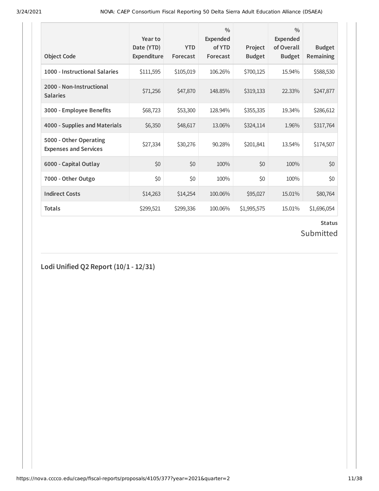| <b>Object Code</b>                                     | Year to<br>Date (YTD)<br>Expenditure | <b>YTD</b><br>Forecast | $\frac{0}{0}$<br>Expended<br>of YTD<br>Forecast | Project<br><b>Budget</b> | $\frac{0}{0}$<br>Expended<br>of Overall<br><b>Budget</b> | <b>Budget</b><br><b>Remaining</b> |
|--------------------------------------------------------|--------------------------------------|------------------------|-------------------------------------------------|--------------------------|----------------------------------------------------------|-----------------------------------|
| 1000 - Instructional Salaries                          | \$111,595                            | \$105,019              | 106.26%                                         | \$700,125                | 15.94%                                                   | \$588,530                         |
| 2000 - Non-Instructional<br><b>Salaries</b>            | \$71,256                             | \$47,870               | 148.85%                                         | \$319,133                | 22.33%                                                   | \$247,877                         |
| 3000 - Employee Benefits                               | \$68,723                             | \$53,300               | 128.94%                                         | \$355,335                | 19.34%                                                   | \$286,612                         |
| 4000 - Supplies and Materials                          | \$6,350                              | \$48,617               | 13.06%                                          | \$324,114                | 1.96%                                                    | \$317,764                         |
| 5000 - Other Operating<br><b>Expenses and Services</b> | \$27,334                             | \$30,276               | 90.28%                                          | \$201,841                | 13.54%                                                   | \$174,507                         |
| 6000 - Capital Outlay                                  | \$0                                  | \$0                    | 100%                                            | \$0                      | 100%                                                     | \$0                               |
| 7000 - Other Outgo                                     | \$0                                  | \$0                    | 100%                                            | \$0                      | 100%                                                     | \$0                               |
| <b>Indirect Costs</b>                                  | \$14,263                             | \$14,254               | 100.06%                                         | \$95,027                 | 15.01%                                                   | \$80,764                          |
| <b>Totals</b>                                          | \$299,521                            | \$299,336              | 100.06%                                         | \$1,995,575              | 15.01%                                                   | \$1,696,054                       |

## Submitted

**Lodi Unified Q2 Report (10/1 - 12/31)**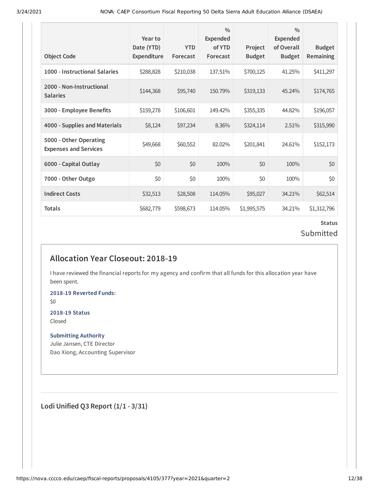| <b>Object Code</b>                                     | Year to<br>Date (YTD)<br><b>Expenditure</b> | <b>YTD</b><br>Forecast | $\frac{0}{0}$<br>Expended<br>of YTD<br>Forecast | Project<br><b>Budget</b> | $\frac{0}{0}$<br>Expended<br>of Overall<br><b>Budget</b> | <b>Budget</b><br><b>Remaining</b> |
|--------------------------------------------------------|---------------------------------------------|------------------------|-------------------------------------------------|--------------------------|----------------------------------------------------------|-----------------------------------|
| 1000 - Instructional Salaries                          | \$288,828                                   | \$210,038              | 137.51%                                         | \$700,125                | 41.25%                                                   | \$411,297                         |
| 2000 - Non-Instructional<br><b>Salaries</b>            | \$144,368                                   | \$95,740               | 150.79%                                         | \$319,133                | 45.24%                                                   | \$174,765                         |
| 3000 - Employee Benefits                               | \$159,278                                   | \$106,601              | 149.42%                                         | \$355,335                | 44.82%                                                   | \$196,057                         |
| 4000 - Supplies and Materials                          | \$8,124                                     | \$97,234               | 8.36%                                           | \$324,114                | 2.51%                                                    | \$315,990                         |
| 5000 - Other Operating<br><b>Expenses and Services</b> | \$49,668                                    | \$60,552               | 82.02%                                          | \$201,841                | 24.61%                                                   | \$152,173                         |
| 6000 - Capital Outlay                                  | \$0                                         | \$0                    | 100%                                            | \$0                      | 100%                                                     | \$0                               |
| 7000 - Other Outgo                                     | \$0                                         | \$0                    | 100%                                            | \$0                      | 100%                                                     | \$0                               |
| <b>Indirect Costs</b>                                  | \$32,513                                    | \$28,508               | 114.05%                                         | \$95,027                 | 34.21%                                                   | \$62,514                          |
| <b>Totals</b>                                          | \$682,779                                   | \$598,673              | 114.05%                                         | \$1,995,575              | 34.21%                                                   | \$1,312,796                       |

### **Status** Submitted

## **Allocation Year Closeout: 2018-19**

I have reviewed the financial reports for my agency and confirm that all funds for this allocation year have been spent.

**2018-19 Reverted Funds:**

\$0

#### **2018-19 Status** Closed

**Submitting Authority**

Julie Jansen, CTE Director Dao Xiong, Accounting Supervisor

**Lodi Unified Q3 Report (1/1 - 3/31)**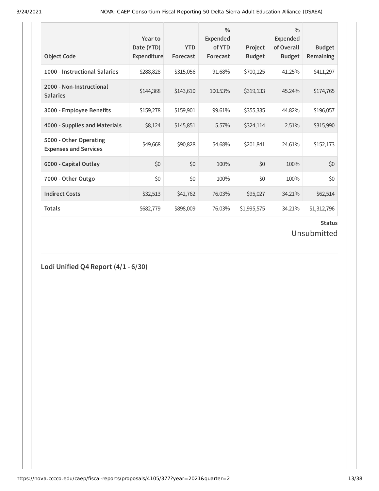| <b>Object Code</b>                                     | Year to<br>Date (YTD)<br>Expenditure | <b>YTD</b><br>Forecast | $\frac{0}{0}$<br><b>Expended</b><br>of YTD<br>Forecast | Project<br><b>Budget</b> | $\frac{0}{0}$<br><b>Expended</b><br>of Overall<br><b>Budget</b> | <b>Budget</b><br><b>Remaining</b> |
|--------------------------------------------------------|--------------------------------------|------------------------|--------------------------------------------------------|--------------------------|-----------------------------------------------------------------|-----------------------------------|
| 1000 - Instructional Salaries                          | \$288,828                            | \$315,056              | 91.68%                                                 | \$700,125                | 41.25%                                                          | \$411,297                         |
| 2000 - Non-Instructional<br><b>Salaries</b>            | \$144,368                            | \$143,610              | 100.53%                                                | \$319,133                | 45.24%                                                          | \$174,765                         |
| 3000 - Employee Benefits                               | \$159,278                            | \$159,901              | 99.61%                                                 | \$355,335                | 44.82%                                                          | \$196,057                         |
| 4000 - Supplies and Materials                          | \$8,124                              | \$145,851              | 5.57%                                                  | \$324,114                | 2.51%                                                           | \$315,990                         |
| 5000 - Other Operating<br><b>Expenses and Services</b> | \$49,668                             | \$90,828               | 54.68%                                                 | \$201,841                | 24.61%                                                          | \$152,173                         |
| 6000 - Capital Outlay                                  | \$0                                  | \$0                    | 100%                                                   | \$0                      | 100%                                                            | \$0                               |
| 7000 - Other Outgo                                     | \$0                                  | \$0                    | 100%                                                   | \$0                      | 100%                                                            | \$0                               |
| <b>Indirect Costs</b>                                  | \$32,513                             | \$42,762               | 76.03%                                                 | \$95,027                 | 34.21%                                                          | \$62,514                          |
| <b>Totals</b>                                          | \$682,779                            | \$898,009              | 76.03%                                                 | \$1,995,575              | 34.21%                                                          | \$1,312,796                       |

## Unsubmitted

**Lodi Unified Q4 Report (4/1 - 6/30)**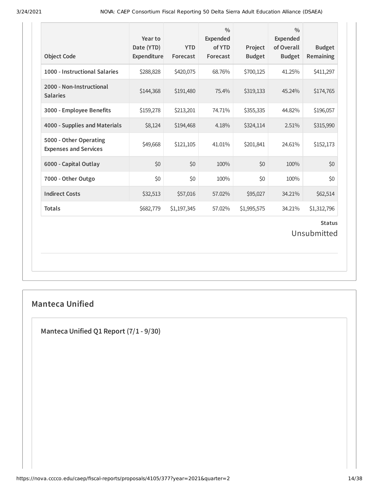| <b>Object Code</b>                                     | Year to<br>Date (YTD)<br>Expenditure | <b>YTD</b><br>Forecast | $\frac{0}{0}$<br><b>Expended</b><br>of YTD<br>Forecast | Project<br><b>Budget</b> | $\frac{0}{0}$<br><b>Expended</b><br>of Overall<br><b>Budget</b> | <b>Budget</b><br>Remaining |  |
|--------------------------------------------------------|--------------------------------------|------------------------|--------------------------------------------------------|--------------------------|-----------------------------------------------------------------|----------------------------|--|
| 1000 - Instructional Salaries                          | \$288,828                            | \$420,075              | 68.76%                                                 | \$700,125                | 41.25%                                                          | \$411,297                  |  |
| 2000 - Non-Instructional<br><b>Salaries</b>            | \$144,368                            | \$191,480              | 75.4%                                                  | \$319,133                | 45.24%                                                          | \$174,765                  |  |
| 3000 - Employee Benefits                               | \$159,278                            | \$213,201              | 74.71%                                                 | \$355,335                | 44.82%                                                          | \$196,057                  |  |
| 4000 - Supplies and Materials                          | \$8,124                              | \$194,468              | 4.18%                                                  | \$324,114                | 2.51%                                                           | \$315,990                  |  |
| 5000 - Other Operating<br><b>Expenses and Services</b> | \$49,668                             | \$121,105              | 41.01%                                                 | \$201,841                | 24.61%                                                          | \$152,173                  |  |
| 6000 - Capital Outlay                                  | \$0                                  | \$0                    | 100%                                                   | \$0                      | 100%                                                            | \$0                        |  |
| 7000 - Other Outgo                                     | \$0                                  | \$0                    | 100%                                                   | \$0                      | 100%                                                            | \$0                        |  |
| <b>Indirect Costs</b>                                  | \$32,513                             | \$57,016               | 57.02%                                                 | \$95,027                 | 34.21%                                                          | \$62,514                   |  |
| <b>Totals</b>                                          | \$682,779                            | \$1,197,345            | 57.02%                                                 | \$1,995,575              | 34.21%                                                          | \$1,312,796                |  |
| <b>Status</b><br>Unsubmitted                           |                                      |                        |                                                        |                          |                                                                 |                            |  |

## **Manteca Unified**

**Manteca Unified Q1 Report (7/1 - 9/30)**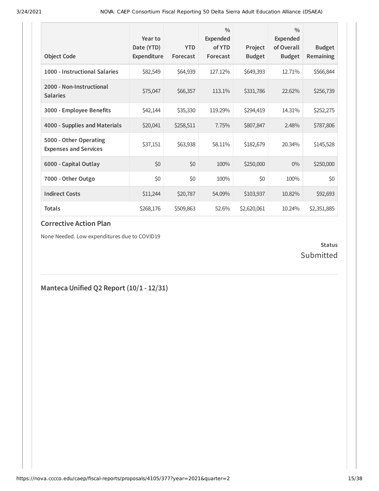| <b>Object Code</b>                                     | Year to<br>Date (YTD)<br><b>Expenditure</b> | <b>YTD</b><br>Forecast | $\frac{0}{0}$<br>Expended<br>of YTD<br>Forecast | Project<br><b>Budget</b> | $\frac{0}{0}$<br><b>Expended</b><br>of Overall<br><b>Budget</b> | <b>Budget</b><br>Remaining |
|--------------------------------------------------------|---------------------------------------------|------------------------|-------------------------------------------------|--------------------------|-----------------------------------------------------------------|----------------------------|
| 1000 - Instructional Salaries                          | \$82,549                                    | \$64,939               | 127.12%                                         | \$649,393                | 12.71%                                                          | \$566,844                  |
| 2000 - Non-Instructional<br><b>Salaries</b>            | \$75,047                                    | \$66,357               | 113.1%                                          | \$331,786                | 22.62%                                                          | \$256,739                  |
| 3000 - Employee Benefits                               | \$42,144                                    | \$35,330               | 119.29%                                         | \$294,419                | 14.31%                                                          | \$252,275                  |
| 4000 - Supplies and Materials                          | \$20,041                                    | \$258,511              | 7.75%                                           | \$807,847                | 2.48%                                                           | \$787,806                  |
| 5000 - Other Operating<br><b>Expenses and Services</b> | \$37,151                                    | \$63,938               | 58.11%                                          | \$182,679                | 20.34%                                                          | \$145,528                  |
| 6000 - Capital Outlay                                  | \$0                                         | \$0                    | 100%                                            | \$250,000                | $0\%$                                                           | \$250,000                  |
| 7000 - Other Outgo                                     | \$0                                         | \$0                    | 100%                                            | \$0                      | 100%                                                            | \$0                        |
| <b>Indirect Costs</b>                                  | \$11,244                                    | \$20,787               | 54.09%                                          | \$103,937                | 10.82%                                                          | \$92,693                   |
| <b>Totals</b>                                          | \$268,176                                   | \$509,863              | 52.6%                                           | \$2,620,061              | 10.24%                                                          | \$2,351,885                |

None Needed. Low expenditures due to COVID19

### **Status** Submitted

## **Manteca Unified Q2 Report (10/1 - 12/31)**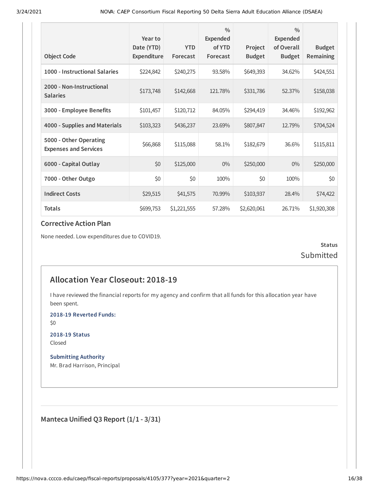| <b>Object Code</b>                                     | Year to<br>Date (YTD)<br>Expenditure | <b>YTD</b><br>Forecast | $\frac{0}{0}$<br><b>Expended</b><br>of YTD<br>Forecast | Project<br><b>Budget</b> | $\frac{0}{0}$<br><b>Expended</b><br>of Overall<br><b>Budget</b> | <b>Budget</b><br>Remaining |
|--------------------------------------------------------|--------------------------------------|------------------------|--------------------------------------------------------|--------------------------|-----------------------------------------------------------------|----------------------------|
|                                                        |                                      |                        |                                                        |                          |                                                                 |                            |
| 1000 - Instructional Salaries                          | \$224,842                            | \$240,275              | 93.58%                                                 | \$649,393                | 34.62%                                                          | \$424,551                  |
| 2000 - Non-Instructional<br><b>Salaries</b>            | \$173,748                            | \$142,668              | 121.78%                                                | \$331,786                | 52.37%                                                          | \$158,038                  |
| 3000 - Employee Benefits                               | \$101,457                            | \$120,712              | 84.05%                                                 | \$294,419                | 34.46%                                                          | \$192,962                  |
| 4000 - Supplies and Materials                          | \$103,323                            | \$436,237              | 23.69%                                                 | \$807,847                | 12.79%                                                          | \$704,524                  |
| 5000 - Other Operating<br><b>Expenses and Services</b> | \$66,868                             | \$115,088              | 58.1%                                                  | \$182,679                | 36.6%                                                           | \$115,811                  |
| 6000 - Capital Outlay                                  | \$0                                  | \$125,000              | $0\%$                                                  | \$250,000                | $0\%$                                                           | \$250,000                  |
| 7000 - Other Outgo                                     | \$0                                  | \$0                    | 100%                                                   | \$0                      | 100%                                                            | \$0                        |
| <b>Indirect Costs</b>                                  | \$29,515                             | \$41,575               | 70.99%                                                 | \$103,937                | 28.4%                                                           | \$74,422                   |
| <b>Totals</b>                                          | \$699,753                            | \$1,221,555            | 57.28%                                                 | \$2,620,061              | 26.71%                                                          | \$1,920,308                |

None needed. Low expenditures due to COVID19.

**Status** Submitted

## **Allocation Year Closeout: 2018-19**

I have reviewed the financial reports for my agency and confirm that all funds for this allocation year have been spent.

**2018-19 Reverted Funds:**

\$0

**2018-19 Status** Closed

**Submitting Authority** Mr. Brad Harrison, Principal

**Manteca Unified Q3 Report (1/1 - 3/31)**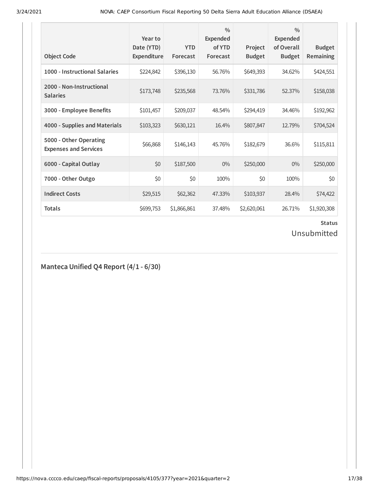| <b>Object Code</b>                                     | Year to<br>Date (YTD)<br>Expenditure | <b>YTD</b><br>Forecast | $\frac{0}{0}$<br><b>Expended</b><br>of YTD<br>Forecast | Project<br><b>Budget</b> | $\frac{0}{0}$<br><b>Expended</b><br>of Overall<br><b>Budget</b> | <b>Budget</b><br><b>Remaining</b> |
|--------------------------------------------------------|--------------------------------------|------------------------|--------------------------------------------------------|--------------------------|-----------------------------------------------------------------|-----------------------------------|
| 1000 - Instructional Salaries                          | \$224,842                            | \$396,130              | 56.76%                                                 | \$649,393                | 34.62%                                                          | \$424,551                         |
| 2000 - Non-Instructional<br><b>Salaries</b>            | \$173,748                            | \$235,568              | 73.76%                                                 | \$331,786                | 52.37%                                                          | \$158,038                         |
| 3000 - Employee Benefits                               | \$101,457                            | \$209,037              | 48.54%                                                 | \$294,419                | 34.46%                                                          | \$192,962                         |
| 4000 - Supplies and Materials                          | \$103,323                            | \$630,121              | 16.4%                                                  | \$807,847                | 12.79%                                                          | \$704,524                         |
| 5000 - Other Operating<br><b>Expenses and Services</b> | \$66,868                             | \$146,143              | 45.76%                                                 | \$182,679                | 36.6%                                                           | \$115,811                         |
| 6000 - Capital Outlay                                  | \$0                                  | \$187,500              | $0\%$                                                  | \$250,000                | $0\%$                                                           | \$250,000                         |
| 7000 - Other Outgo                                     | \$0                                  | \$0                    | 100%                                                   | \$0                      | 100%                                                            | \$0                               |
| <b>Indirect Costs</b>                                  | \$29,515                             | \$62,362               | 47.33%                                                 | \$103,937                | 28.4%                                                           | \$74,422                          |
| <b>Totals</b>                                          | \$699,753                            | \$1,866,861            | 37.48%                                                 | \$2,620,061              | 26.71%                                                          | \$1,920,308                       |

Unsubmitted

**Manteca Unified Q4 Report (4/1 - 6/30)**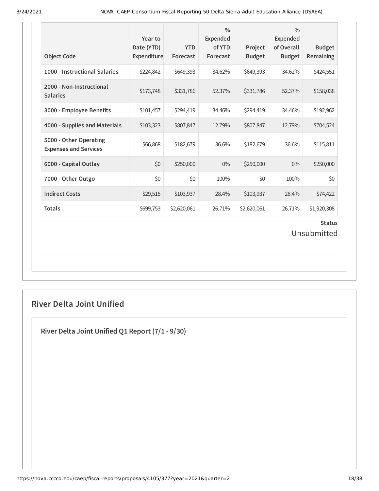| <b>Object Code</b>                                     | Year to<br>Date (YTD)<br>Expenditure | <b>YTD</b><br>Forecast | $\frac{0}{0}$<br><b>Expended</b><br>of YTD<br>Forecast | Project<br><b>Budget</b> | $\frac{0}{0}$<br><b>Expended</b><br>of Overall<br><b>Budget</b> | <b>Budget</b><br>Remaining |  |  |
|--------------------------------------------------------|--------------------------------------|------------------------|--------------------------------------------------------|--------------------------|-----------------------------------------------------------------|----------------------------|--|--|
| 1000 - Instructional Salaries                          | \$224,842                            | \$649,393              | 34.62%                                                 | \$649,393                | 34.62%                                                          | \$424,551                  |  |  |
| 2000 - Non-Instructional<br><b>Salaries</b>            | \$173,748                            | \$331,786              | 52.37%                                                 | \$331,786                | 52.37%                                                          | \$158,038                  |  |  |
| 3000 - Employee Benefits                               | \$101,457                            | \$294,419              | 34.46%                                                 | \$294,419                | 34.46%                                                          | \$192,962                  |  |  |
| 4000 - Supplies and Materials                          | \$103,323                            | \$807,847              | 12.79%                                                 | \$807,847                | 12.79%                                                          | \$704,524                  |  |  |
| 5000 - Other Operating<br><b>Expenses and Services</b> | \$66,868                             | \$182,679              | 36.6%                                                  | \$182,679                | 36.6%                                                           | \$115,811                  |  |  |
| 6000 - Capital Outlay                                  | \$0                                  | \$250,000              | $0\%$                                                  | \$250,000                | $0\%$                                                           | \$250,000                  |  |  |
| 7000 - Other Outgo                                     | \$0                                  | \$0                    | 100%                                                   | \$0                      | 100%                                                            | \$0                        |  |  |
| <b>Indirect Costs</b>                                  | \$29,515                             | \$103,937              | 28.4%                                                  | \$103,937                | 28.4%                                                           | \$74,422                   |  |  |
| <b>Totals</b>                                          | \$699,753                            | \$2,620,061            | 26.71%                                                 | \$2,620,061              | 26.71%                                                          | \$1,920,308                |  |  |
| <b>Status</b><br>Unsubmitted                           |                                      |                        |                                                        |                          |                                                                 |                            |  |  |

## **River Delta Joint Unified**

**River Delta Joint Unified Q1 Report (7/1 - 9/30)**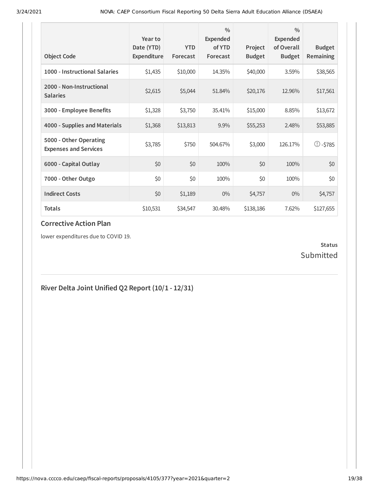| <b>Object Code</b>                                     | Year to<br>Date (YTD)<br><b>Expenditure</b> | <b>YTD</b><br>Forecast | $\frac{0}{0}$<br>Expended<br>of YTD<br>Forecast | Project<br><b>Budget</b> | $\frac{0}{0}$<br>Expended<br>of Overall<br><b>Budget</b> | <b>Budget</b><br>Remaining |
|--------------------------------------------------------|---------------------------------------------|------------------------|-------------------------------------------------|--------------------------|----------------------------------------------------------|----------------------------|
| 1000 - Instructional Salaries                          | \$1,435                                     | \$10,000               | 14.35%                                          | \$40,000                 | 3.59%                                                    | \$38,565                   |
| 2000 - Non-Instructional<br><b>Salaries</b>            | \$2,615                                     | \$5,044                | 51.84%                                          | \$20,176                 | 12.96%                                                   | \$17,561                   |
| 3000 - Employee Benefits                               | \$1,328                                     | \$3,750                | 35.41%                                          | \$15,000                 | 8.85%                                                    | \$13,672                   |
| 4000 - Supplies and Materials                          | \$1,368                                     | \$13,813               | 9.9%                                            | \$55,253                 | 2.48%                                                    | \$53,885                   |
| 5000 - Other Operating<br><b>Expenses and Services</b> | \$3,785                                     | \$750                  | 504.67%                                         | \$3,000                  | 126.17%                                                  | $\mathbb{O}$ -\$785        |
| 6000 - Capital Outlay                                  | \$0                                         | \$0                    | 100%                                            | \$0                      | 100%                                                     | \$0                        |
| 7000 - Other Outgo                                     | \$0                                         | \$0                    | 100%                                            | \$0                      | 100%                                                     | \$0                        |
| <b>Indirect Costs</b>                                  | \$0                                         | \$1,189                | $0\%$                                           | \$4,757                  | $0\%$                                                    | \$4,757                    |
| <b>Totals</b>                                          | \$10,531                                    | \$34,547               | 30.48%                                          | \$138,186                | 7.62%                                                    | \$127,655                  |

lower expenditures due to COVID 19.

### **Status** Submitted

## **River Delta Joint Unified Q2 Report (10/1 - 12/31)**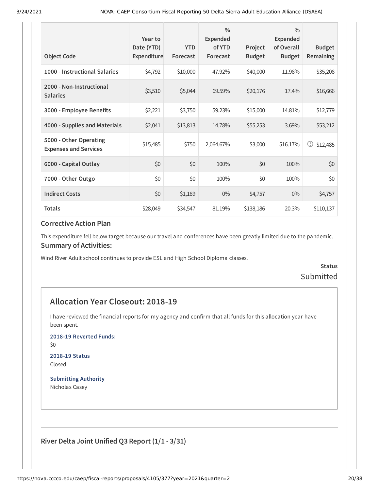| <b>Object Code</b>                                     | Year to<br>Date (YTD)<br>Expenditure | <b>YTD</b><br>Forecast | $\frac{0}{0}$<br>Expended<br>of YTD<br>Forecast | Project<br><b>Budget</b> | $\frac{0}{0}$<br>Expended<br>of Overall<br><b>Budget</b> | <b>Budget</b><br>Remaining |
|--------------------------------------------------------|--------------------------------------|------------------------|-------------------------------------------------|--------------------------|----------------------------------------------------------|----------------------------|
| 1000 - Instructional Salaries                          | \$4,792                              | \$10,000               | 47.92%                                          | \$40,000                 | 11.98%                                                   | \$35,208                   |
| 2000 - Non-Instructional<br><b>Salaries</b>            | \$3,510                              | \$5,044                | 69.59%                                          | \$20,176                 | 17.4%                                                    | \$16,666                   |
| 3000 - Employee Benefits                               | \$2,221                              | \$3,750                | 59.23%                                          | \$15,000                 | 14.81%                                                   | \$12,779                   |
| 4000 - Supplies and Materials                          | \$2,041                              | \$13,813               | 14.78%                                          | \$55,253                 | 3.69%                                                    | \$53,212                   |
| 5000 - Other Operating<br><b>Expenses and Services</b> | \$15,485                             | \$750                  | 2,064.67%                                       | \$3,000                  | 516.17%                                                  | $\circ$ -\$12,485          |
| 6000 - Capital Outlay                                  | \$0                                  | \$0                    | 100%                                            | \$0                      | 100%                                                     | \$0                        |
| 7000 - Other Outgo                                     | \$0                                  | \$0                    | 100%                                            | \$0                      | 100%                                                     | \$0                        |
| <b>Indirect Costs</b>                                  | \$0                                  | \$1,189                | $0\%$                                           | \$4,757                  | $0\%$                                                    | \$4,757                    |
| <b>Totals</b>                                          | \$28,049                             | \$34,547               | 81.19%                                          | \$138,186                | 20.3%                                                    | \$110,137                  |

This expenditure fell below target because our travel and conferences have been greatly limited due to the pandemic. **Summary of Activities:**

Wind River Adult school continues to provide ESL and High School Diploma classes.

**Status** Submitted

## **Allocation Year Closeout: 2018-19**

I have reviewed the financial reports for my agency and confirm that all funds for this allocation year have been spent.

**2018-19 Reverted Funds:**

\$0

**2018-19 Status** Closed

**Submitting Authority** Nicholas Casey

**River Delta Joint Unified Q3 Report (1/1 - 3/31)**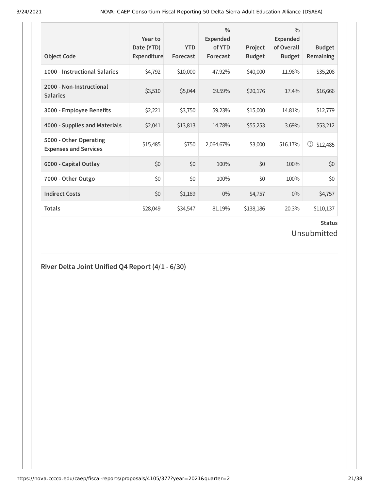| <b>Object Code</b>                                     | Year to<br>Date (YTD)<br>Expenditure | <b>YTD</b><br>Forecast | $\frac{0}{0}$<br>Expended<br>of YTD<br>Forecast | Project<br><b>Budget</b> | $\frac{0}{0}$<br>Expended<br>of Overall<br><b>Budget</b> | <b>Budget</b><br>Remaining |
|--------------------------------------------------------|--------------------------------------|------------------------|-------------------------------------------------|--------------------------|----------------------------------------------------------|----------------------------|
| 1000 - Instructional Salaries                          | \$4,792                              | \$10,000               | 47.92%                                          | \$40,000                 | 11.98%                                                   | \$35,208                   |
| 2000 - Non-Instructional<br><b>Salaries</b>            | \$3,510                              | \$5,044                | 69.59%                                          | \$20,176                 | 17.4%                                                    | \$16,666                   |
| 3000 - Employee Benefits                               | \$2,221                              | \$3,750                | 59.23%                                          | \$15,000                 | 14.81%                                                   | \$12,779                   |
| 4000 - Supplies and Materials                          | \$2,041                              | \$13,813               | 14.78%                                          | \$55,253                 | 3.69%                                                    | \$53,212                   |
| 5000 - Other Operating<br><b>Expenses and Services</b> | \$15,485                             | \$750                  | 2,064.67%                                       | \$3,000                  | 516.17%                                                  | $\circ$ -\$12,485          |
| 6000 - Capital Outlay                                  | \$0                                  | \$0                    | 100%                                            | \$0                      | 100%                                                     | \$0                        |
| 7000 - Other Outgo                                     | \$0                                  | \$0                    | 100%                                            | \$0                      | 100%                                                     | \$0                        |
| <b>Indirect Costs</b>                                  | \$0                                  | \$1,189                | $0\%$                                           | \$4,757                  | $0\%$                                                    | \$4,757                    |
| <b>Totals</b>                                          | \$28,049                             | \$34,547               | 81.19%                                          | \$138,186                | 20.3%                                                    | \$110,137                  |

## Unsubmitted

## **River Delta Joint Unified Q4 Report (4/1 - 6/30)**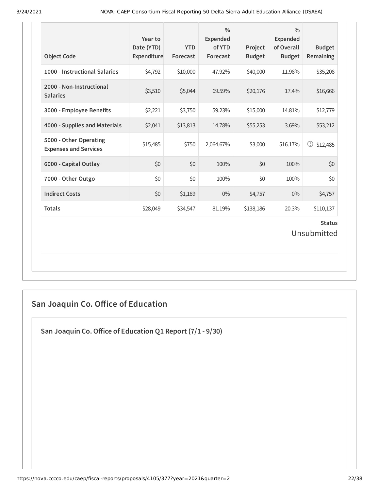| <b>Object Code</b>                                     | Year to<br>Date (YTD)<br>Expenditure | <b>YTD</b><br>Forecast | $\frac{0}{0}$<br>Expended<br>of YTD<br>Forecast | Project<br><b>Budget</b> | $\frac{0}{0}$<br><b>Expended</b><br>of Overall<br><b>Budget</b> | <b>Budget</b><br>Remaining |  |  |
|--------------------------------------------------------|--------------------------------------|------------------------|-------------------------------------------------|--------------------------|-----------------------------------------------------------------|----------------------------|--|--|
| 1000 - Instructional Salaries                          | \$4,792                              | \$10,000               | 47.92%                                          | \$40,000                 | 11.98%                                                          | \$35,208                   |  |  |
| 2000 - Non-Instructional<br><b>Salaries</b>            | \$3,510                              | \$5,044                | 69.59%                                          | \$20,176                 | 17.4%                                                           | \$16,666                   |  |  |
| 3000 - Employee Benefits                               | \$2,221                              | \$3,750                | 59.23%                                          | \$15,000                 | 14.81%                                                          | \$12,779                   |  |  |
| 4000 - Supplies and Materials                          | \$2,041                              | \$13,813               | 14.78%                                          | \$55,253                 | 3.69%                                                           | \$53,212                   |  |  |
| 5000 - Other Operating<br><b>Expenses and Services</b> | \$15,485                             | \$750                  | 2,064.67%                                       | \$3,000                  | 516.17%                                                         | $\circ$ -\$12,485          |  |  |
| 6000 - Capital Outlay                                  | \$0                                  | \$0                    | 100%                                            | \$0                      | 100%                                                            | \$0                        |  |  |
| 7000 - Other Outgo                                     | \$0                                  | \$0                    | 100%                                            | \$0                      | 100%                                                            | \$0                        |  |  |
| <b>Indirect Costs</b>                                  | \$0                                  | \$1,189                | $0\%$                                           | \$4,757                  | 0%                                                              | \$4,757                    |  |  |
| <b>Totals</b>                                          | \$28,049                             | \$34,547               | 81.19%                                          | \$138,186                | 20.3%                                                           | \$110,137                  |  |  |
| <b>Status</b><br>Unsubmitted                           |                                      |                        |                                                 |                          |                                                                 |                            |  |  |

## **San Joaquin Co. Oice of Education**

**San Joaquin Co.Oice of Education Q1 Report (7/1 - 9/30)**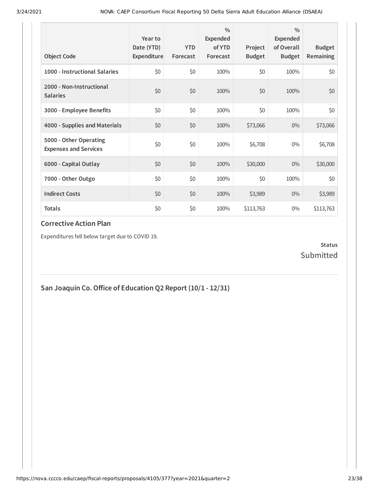| <b>Object Code</b>                                     | Year to<br>Date (YTD)<br>Expenditure | <b>YTD</b><br>Forecast | $\frac{0}{0}$<br>Expended<br>of YTD<br>Forecast | Project<br><b>Budget</b> | $\frac{0}{0}$<br><b>Expended</b><br>of Overall<br><b>Budget</b> | <b>Budget</b><br><b>Remaining</b> |
|--------------------------------------------------------|--------------------------------------|------------------------|-------------------------------------------------|--------------------------|-----------------------------------------------------------------|-----------------------------------|
| 1000 - Instructional Salaries                          | \$0                                  | \$0                    | 100%                                            | \$0                      | 100%                                                            | \$0                               |
| 2000 - Non-Instructional<br><b>Salaries</b>            | \$0                                  | \$0                    | 100%                                            | \$0                      | 100%                                                            | \$0                               |
| 3000 - Employee Benefits                               | \$0                                  | \$0                    | 100%                                            | \$0                      | 100%                                                            | \$0                               |
| 4000 - Supplies and Materials                          | \$0                                  | \$0                    | 100%                                            | \$73,066                 | $0\%$                                                           | \$73,066                          |
| 5000 - Other Operating<br><b>Expenses and Services</b> | \$0                                  | \$0                    | 100%                                            | \$6,708                  | $0\%$                                                           | \$6,708                           |
| 6000 - Capital Outlay                                  | \$0                                  | \$0                    | 100%                                            | \$30,000                 | $0\%$                                                           | \$30,000                          |
| 7000 - Other Outgo                                     | \$0                                  | \$0                    | 100%                                            | \$0                      | 100%                                                            | \$0                               |
| <b>Indirect Costs</b>                                  | \$0                                  | \$0                    | 100%                                            | \$3,989                  | $0\%$                                                           | \$3,989                           |
| <b>Totals</b>                                          | \$0                                  | \$0                    | 100%                                            | \$113,763                | $0\%$                                                           | \$113,763                         |

Expenditures fell below target due to COVID 19.

### **Status** Submitted

**San Joaquin Co.Oice of Education Q2 Report (10/1 - 12/31)**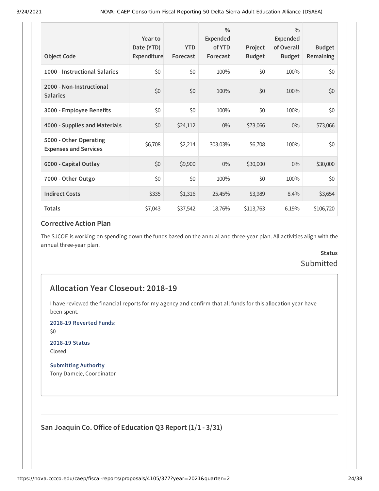| <b>Object Code</b>                                     | Year to<br>Date (YTD)<br>Expenditure | <b>YTD</b><br>Forecast | $\frac{0}{0}$<br>Expended<br>of YTD<br>Forecast | Project<br><b>Budget</b> | $\frac{0}{0}$<br><b>Expended</b><br>of Overall<br><b>Budget</b> | <b>Budget</b><br><b>Remaining</b> |
|--------------------------------------------------------|--------------------------------------|------------------------|-------------------------------------------------|--------------------------|-----------------------------------------------------------------|-----------------------------------|
| 1000 - Instructional Salaries                          | \$0                                  | \$0                    | 100%                                            | \$0                      | 100%                                                            | \$0                               |
| 2000 - Non-Instructional<br><b>Salaries</b>            | \$0                                  | \$0                    | 100%                                            | \$0                      | 100%                                                            | \$0                               |
| 3000 - Employee Benefits                               | \$0                                  | \$0                    | 100%                                            | \$0                      | 100%                                                            | \$0                               |
| 4000 - Supplies and Materials                          | \$0                                  | \$24,112               | $0\%$                                           | \$73,066                 | $0\%$                                                           | \$73,066                          |
| 5000 - Other Operating<br><b>Expenses and Services</b> | \$6,708                              | \$2,214                | 303.03%                                         | \$6,708                  | 100%                                                            | \$0                               |
| 6000 - Capital Outlay                                  | \$0                                  | \$9,900                | $0\%$                                           | \$30,000                 | $0\%$                                                           | \$30,000                          |
| 7000 - Other Outgo                                     | \$0                                  | \$0                    | 100%                                            | \$0                      | 100%                                                            | \$0                               |
| <b>Indirect Costs</b>                                  | \$335                                | \$1,316                | 25.45%                                          | \$3,989                  | 8.4%                                                            | \$3,654                           |
| <b>Totals</b>                                          | \$7,043                              | \$37,542               | 18.76%                                          | \$113,763                | 6.19%                                                           | \$106,720                         |

The SJCOE is working on spending down the funds based on the annual and three-year plan. All activities align with the annual three-year plan.

## **Status** Submitted

### **Allocation Year Closeout: 2018-19**

I have reviewed the financial reports for my agency and confirm that all funds for this allocation year have been spent.

**2018-19 Reverted Funds:**

\$0

**2018-19 Status** Closed

**Submitting Authority** Tony Damele, Coordinator

**San Joaquin Co.Oice of Education Q3 Report (1/1 - 3/31)**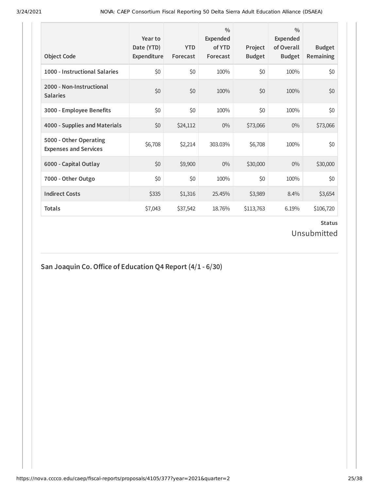| <b>Object Code</b>                                     | Year to<br>Date (YTD)<br>Expenditure | <b>YTD</b><br>Forecast | $\frac{0}{0}$<br><b>Expended</b><br>of YTD<br>Forecast | Project<br><b>Budget</b> | $\frac{0}{0}$<br>Expended<br>of Overall<br><b>Budget</b> | <b>Budget</b><br>Remaining |
|--------------------------------------------------------|--------------------------------------|------------------------|--------------------------------------------------------|--------------------------|----------------------------------------------------------|----------------------------|
| 1000 - Instructional Salaries                          | \$0                                  | \$0                    | 100%                                                   | \$0                      | 100%                                                     | \$0                        |
| 2000 - Non-Instructional<br><b>Salaries</b>            | \$0                                  | \$0                    | 100%                                                   | \$0                      | 100%                                                     | \$0                        |
| 3000 - Employee Benefits                               | \$0                                  | \$0                    | 100%                                                   | \$0                      | 100%                                                     | \$0                        |
| 4000 - Supplies and Materials                          | \$0                                  | \$24,112               | $0\%$                                                  | \$73,066                 | $0\%$                                                    | \$73,066                   |
| 5000 - Other Operating<br><b>Expenses and Services</b> | \$6,708                              | \$2,214                | 303.03%                                                | \$6,708                  | 100%                                                     | \$0                        |
| 6000 - Capital Outlay                                  | \$0                                  | \$9,900                | $0\%$                                                  | \$30,000                 | $0\%$                                                    | \$30,000                   |
| 7000 - Other Outgo                                     | \$0                                  | \$0                    | 100%                                                   | \$0                      | 100%                                                     | \$0                        |
| <b>Indirect Costs</b>                                  | \$335                                | \$1,316                | 25.45%                                                 | \$3,989                  | 8.4%                                                     | \$3,654                    |
| <b>Totals</b>                                          | \$7,043                              | \$37,542               | 18.76%                                                 | \$113,763                | 6.19%                                                    | \$106,720                  |

### **Status** Unsubmitted

## **San Joaquin Co.Oice of Education Q4 Report (4/1 - 6/30)**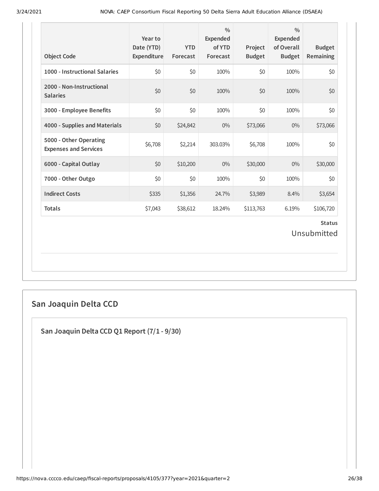| <b>Object Code</b>                                     | Year to<br>Date (YTD)<br>Expenditure | <b>YTD</b><br>Forecast | $\frac{0}{0}$<br><b>Expended</b><br>of YTD<br>Forecast | Project<br><b>Budget</b> | $\frac{0}{0}$<br><b>Expended</b><br>of Overall<br><b>Budget</b> | <b>Budget</b><br><b>Remaining</b> |
|--------------------------------------------------------|--------------------------------------|------------------------|--------------------------------------------------------|--------------------------|-----------------------------------------------------------------|-----------------------------------|
| 1000 - Instructional Salaries                          | \$0                                  | \$0                    | 100%                                                   | \$0                      | 100%                                                            | \$0                               |
| 2000 - Non-Instructional<br><b>Salaries</b>            | \$0                                  | \$0                    | 100%                                                   | \$0                      | 100%                                                            | \$0                               |
| 3000 - Employee Benefits                               | \$0                                  | \$0                    | 100%                                                   | \$0                      | 100%                                                            | \$0                               |
| 4000 - Supplies and Materials                          | \$0                                  | \$24,842               | $0\%$                                                  | \$73,066                 | $0\%$                                                           | \$73,066                          |
| 5000 - Other Operating<br><b>Expenses and Services</b> | \$6,708                              | \$2,214                | 303.03%                                                | \$6,708                  | 100%                                                            | \$0                               |
| 6000 - Capital Outlay                                  | \$0                                  | \$10,200               | $0\%$                                                  | \$30,000                 | $0\%$                                                           | \$30,000                          |
| 7000 - Other Outgo                                     | \$0                                  | \$0                    | 100%                                                   | \$0                      | 100%                                                            | \$0                               |
| <b>Indirect Costs</b>                                  | \$335                                | \$1,356                | 24.7%                                                  | \$3,989                  | 8.4%                                                            | \$3,654                           |
| <b>Totals</b>                                          | \$7,043                              | \$38,612               | 18.24%                                                 | \$113,763                | 6.19%                                                           | \$106,720                         |
|                                                        |                                      |                        |                                                        |                          |                                                                 | <b>Status</b><br>Unsubmitted      |

## **San Joaquin Delta CCD**

**San Joaquin Delta CCD Q1 Report (7/1 - 9/30)**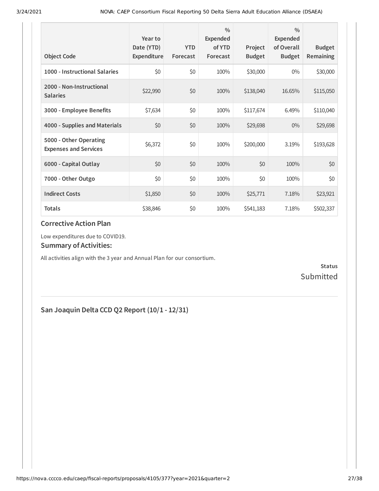| <b>Object Code</b>                                     | Year to<br>Date (YTD)<br>Expenditure | <b>YTD</b><br>Forecast | 0/0<br><b>Expended</b><br>of YTD<br>Forecast | Project<br><b>Budget</b> | $\frac{0}{0}$<br>Expended<br>of Overall<br><b>Budget</b> | <b>Budget</b><br><b>Remaining</b> |
|--------------------------------------------------------|--------------------------------------|------------------------|----------------------------------------------|--------------------------|----------------------------------------------------------|-----------------------------------|
| 1000 - Instructional Salaries                          | \$0                                  | \$0                    | 100%                                         | \$30,000                 | $0\%$                                                    | \$30,000                          |
| 2000 - Non-Instructional<br><b>Salaries</b>            | \$22,990                             | \$0                    | 100%                                         | \$138,040                | 16.65%                                                   | \$115,050                         |
| 3000 - Employee Benefits                               | \$7,634                              | \$0                    | 100%                                         | \$117,674                | 6.49%                                                    | \$110,040                         |
| 4000 - Supplies and Materials                          | \$0                                  | \$0                    | 100%                                         | \$29,698                 | $0\%$                                                    | \$29,698                          |
| 5000 - Other Operating<br><b>Expenses and Services</b> | \$6,372                              | \$0                    | 100%                                         | \$200,000                | 3.19%                                                    | \$193,628                         |
| 6000 - Capital Outlay                                  | \$0                                  | \$0                    | 100%                                         | \$0                      | 100%                                                     | \$0                               |
| 7000 - Other Outgo                                     | \$0                                  | \$0                    | 100%                                         | \$0                      | 100%                                                     | \$0                               |
| <b>Indirect Costs</b>                                  | \$1,850                              | \$0                    | 100%                                         | \$25,771                 | 7.18%                                                    | \$23,921                          |
| <b>Totals</b>                                          | \$38,846                             | \$0                    | 100%                                         | \$541,183                | 7.18%                                                    | \$502,337                         |

Low expenditures due to COVID19.

### **Summary of Activities:**

All activities align with the 3 year and Annual Plan for our consortium.

**Status** Submitted

## **San Joaquin Delta CCD Q2 Report (10/1 - 12/31)**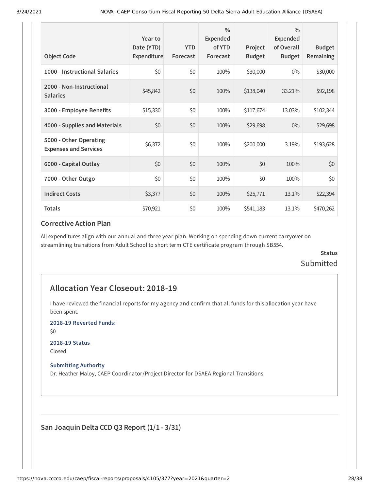| <b>Object Code</b>                                     | Year to<br>Date (YTD)<br>Expenditure | <b>YTD</b><br>Forecast | $\frac{0}{0}$<br>Expended<br>of YTD<br>Forecast | Project<br><b>Budget</b> | $\frac{0}{0}$<br>Expended<br>of Overall<br><b>Budget</b> | <b>Budget</b><br><b>Remaining</b> |
|--------------------------------------------------------|--------------------------------------|------------------------|-------------------------------------------------|--------------------------|----------------------------------------------------------|-----------------------------------|
| 1000 - Instructional Salaries                          | \$0                                  | \$0                    | 100%                                            | \$30,000                 | $0\%$                                                    | \$30,000                          |
| 2000 - Non-Instructional<br><b>Salaries</b>            | \$45,842                             | \$0                    | 100%                                            | \$138,040                | 33.21%                                                   | \$92,198                          |
| 3000 - Employee Benefits                               | \$15,330                             | \$0                    | 100%                                            | \$117,674                | 13.03%                                                   | \$102,344                         |
| 4000 - Supplies and Materials                          | \$0                                  | \$0                    | 100%                                            | \$29,698                 | $0\%$                                                    | \$29,698                          |
| 5000 - Other Operating<br><b>Expenses and Services</b> | \$6,372                              | \$0                    | 100%                                            | \$200,000                | 3.19%                                                    | \$193,628                         |
| 6000 - Capital Outlay                                  | \$0                                  | \$0                    | 100%                                            | \$0                      | 100%                                                     | \$0                               |
| 7000 - Other Outgo                                     | \$0                                  | \$0                    | 100%                                            | \$0                      | 100%                                                     | \$0                               |
| <b>Indirect Costs</b>                                  | \$3,377                              | \$0                    | 100%                                            | \$25,771                 | 13.1%                                                    | \$22,394                          |
| <b>Totals</b>                                          | \$70,921                             | \$0                    | 100%                                            | \$541,183                | 13.1%                                                    | \$470,262                         |

All expenditures align with our annual and three year plan. Working on spending down current carryover on streamlining transitions from Adult School to short term CTE certificate program through SB554.

### **Status** Submitted

### **Allocation Year Closeout: 2018-19**

I have reviewed the financial reports for my agency and confirm that all funds for this allocation year have been spent.

**2018-19 Reverted Funds:**

\$0

#### **2018-19 Status**

Closed

#### **Submitting Authority**

Dr. Heather Maloy, CAEP Coordinator/Project Director for DSAEA Regional Transitions

**San Joaquin Delta CCD Q3 Report (1/1 - 3/31)**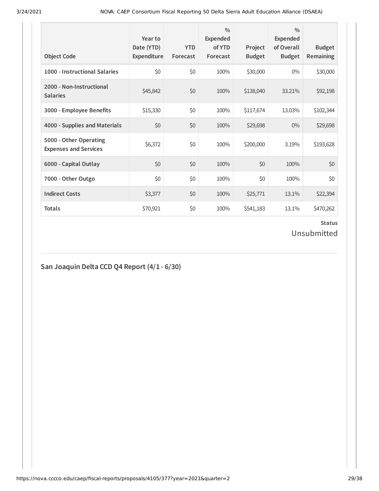| <b>Object Code</b>                                     | Year to<br>Date (YTD)<br>Expenditure | <b>YTD</b><br>Forecast | $\frac{0}{0}$<br>Expended<br>of YTD<br>Forecast | Project<br><b>Budget</b> | $\frac{0}{0}$<br>Expended<br>of Overall<br><b>Budget</b> | <b>Budget</b><br><b>Remaining</b> |
|--------------------------------------------------------|--------------------------------------|------------------------|-------------------------------------------------|--------------------------|----------------------------------------------------------|-----------------------------------|
| 1000 - Instructional Salaries                          | \$0                                  | \$0                    | 100%                                            | \$30,000                 | $0\%$                                                    | \$30,000                          |
| 2000 - Non-Instructional<br><b>Salaries</b>            | \$45,842                             | \$0                    | 100%                                            | \$138,040                | 33.21%                                                   | \$92,198                          |
| 3000 - Employee Benefits                               | \$15,330                             | \$0                    | 100%                                            | \$117,674                | 13.03%                                                   | \$102,344                         |
| 4000 - Supplies and Materials                          | \$0                                  | \$0                    | 100%                                            | \$29,698                 | $0\%$                                                    | \$29,698                          |
| 5000 - Other Operating<br><b>Expenses and Services</b> | \$6,372                              | \$0                    | 100%                                            | \$200,000                | 3.19%                                                    | \$193,628                         |
| 6000 - Capital Outlay                                  | \$0                                  | \$0                    | 100%                                            | \$0                      | 100%                                                     | \$0                               |
| 7000 - Other Outgo                                     | \$0                                  | \$0                    | 100%                                            | \$0                      | 100%                                                     | \$0                               |
| <b>Indirect Costs</b>                                  | \$3,377                              | \$0                    | 100%                                            | \$25,771                 | 13.1%                                                    | \$22,394                          |
| <b>Totals</b>                                          | \$70,921                             | \$0                    | 100%                                            | \$541,183                | 13.1%                                                    | \$470,262                         |

Unsubmitted

## **San Joaquin Delta CCD Q4 Report (4/1 - 6/30)**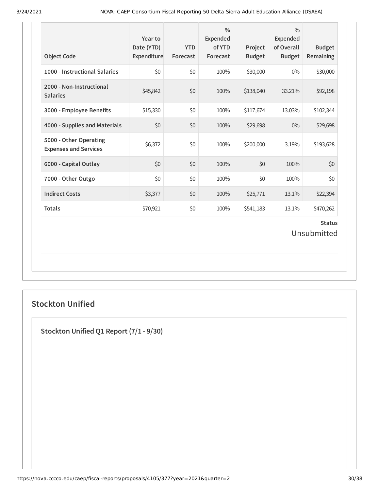| <b>Object Code</b>                                     | Year to<br>Date (YTD)<br>Expenditure | <b>YTD</b><br>Forecast | $\frac{0}{0}$<br>Expended<br>of YTD<br>Forecast | Project<br><b>Budget</b> | $\frac{0}{0}$<br><b>Expended</b><br>of Overall<br><b>Budget</b> | <b>Budget</b><br>Remaining   |
|--------------------------------------------------------|--------------------------------------|------------------------|-------------------------------------------------|--------------------------|-----------------------------------------------------------------|------------------------------|
| 1000 - Instructional Salaries                          | \$0                                  | \$0                    | 100%                                            | \$30,000                 | $0\%$                                                           | \$30,000                     |
| 2000 - Non-Instructional<br><b>Salaries</b>            | \$45,842                             | \$0                    | 100%                                            | \$138,040                | 33.21%                                                          | \$92,198                     |
| 3000 - Employee Benefits                               | \$15,330                             | \$0                    | 100%                                            | \$117,674                | 13.03%                                                          | \$102,344                    |
| 4000 - Supplies and Materials                          | \$0                                  | \$0                    | 100%                                            | \$29,698                 | 0%                                                              | \$29,698                     |
| 5000 - Other Operating<br><b>Expenses and Services</b> | \$6,372                              | \$0                    | 100%                                            | \$200,000                | 3.19%                                                           | \$193,628                    |
| 6000 - Capital Outlay                                  | \$0                                  | \$0                    | 100%                                            | \$0                      | 100%                                                            | \$0                          |
| 7000 - Other Outgo                                     | \$0                                  | \$0                    | 100%                                            | \$0                      | 100%                                                            | \$0                          |
| <b>Indirect Costs</b>                                  | \$3,377                              | \$0                    | 100%                                            | \$25,771                 | 13.1%                                                           | \$22,394                     |
| <b>Totals</b>                                          | \$70,921                             | \$0                    | 100%                                            | \$541,183                | 13.1%                                                           | \$470,262                    |
|                                                        |                                      |                        |                                                 |                          |                                                                 | <b>Status</b><br>Unsubmitted |

## **Stockton Unified**

**Stockton Unified Q1 Report (7/1 - 9/30)**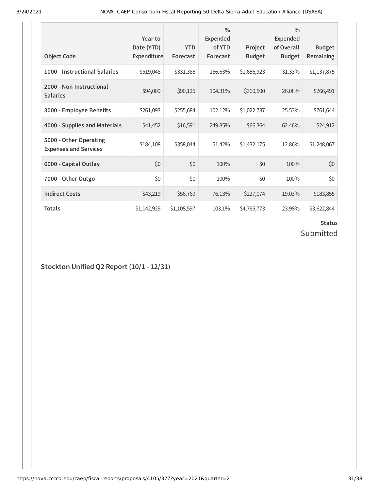| <b>Object Code</b>                                     | Year to<br>Date (YTD)<br>Expenditure | <b>YTD</b><br>Forecast | $\frac{0}{0}$<br>Expended<br>of YTD<br>Forecast | Project<br><b>Budget</b> | $\frac{0}{0}$<br><b>Expended</b><br>of Overall<br><b>Budget</b> | <b>Budget</b><br>Remaining |
|--------------------------------------------------------|--------------------------------------|------------------------|-------------------------------------------------|--------------------------|-----------------------------------------------------------------|----------------------------|
| 1000 - Instructional Salaries                          | \$519,048                            | \$331,385              | 156.63%                                         | \$1,656,923              | 31.33%                                                          | \$1,137,875                |
| 2000 - Non-Instructional<br><b>Salaries</b>            | \$94,009                             | \$90,125               | 104.31%                                         | \$360,500                | 26.08%                                                          | \$266,491                  |
| 3000 - Employee Benefits                               | \$261,093                            | \$255,684              | 102.12%                                         | \$1,022,737              | 25.53%                                                          | \$761,644                  |
| 4000 - Supplies and Materials                          | \$41,452                             | \$16,591               | 249.85%                                         | \$66,364                 | 62.46%                                                          | \$24,912                   |
| 5000 - Other Operating<br><b>Expenses and Services</b> | \$184,108                            | \$358,044              | 51.42%                                          | \$1,432,175              | 12.86%                                                          | \$1,248,067                |
| 6000 - Capital Outlay                                  | \$0                                  | \$0                    | 100%                                            | \$0                      | 100%                                                            | \$0                        |
| 7000 - Other Outgo                                     | \$0                                  | \$0                    | 100%                                            | \$0                      | 100%                                                            | \$0                        |
| <b>Indirect Costs</b>                                  | \$43,219                             | \$56,769               | 76.13%                                          | \$227,074                | 19.03%                                                          | \$183,855                  |
| <b>Totals</b>                                          | \$1,142,929                          | \$1,108,597            | 103.1%                                          | \$4,765,773              | 23.98%                                                          | \$3,622,844                |

## Submitted

**Stockton Unified Q2 Report (10/1 - 12/31)**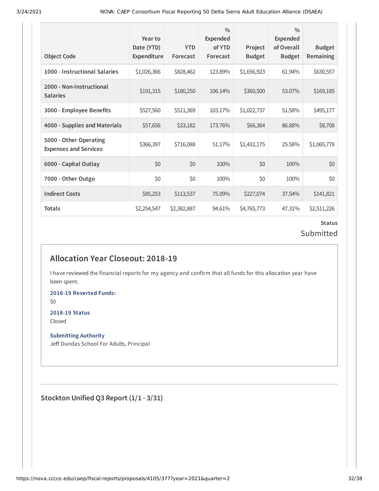| <b>Object Code</b>                                     | Year to<br>Date (YTD)<br><b>Expenditure</b> | <b>YTD</b><br>Forecast | $\frac{0}{0}$<br>Expended<br>of YTD<br>Forecast | Project<br><b>Budget</b> | $\frac{0}{0}$<br>Expended<br>of Overall<br><b>Budget</b> | <b>Budget</b><br>Remaining |
|--------------------------------------------------------|---------------------------------------------|------------------------|-------------------------------------------------|--------------------------|----------------------------------------------------------|----------------------------|
| 1000 - Instructional Salaries                          | \$1,026,366                                 | \$828,462              | 123.89%                                         | \$1,656,923              | 61.94%                                                   | \$630,557                  |
| 2000 - Non-Instructional<br><b>Salaries</b>            | \$191,315                                   | \$180,250              | 106.14%                                         | \$360,500                | 53.07%                                                   | \$169,185                  |
| 3000 - Employee Benefits                               | \$527,560                                   | \$511,369              | 103.17%                                         | \$1,022,737              | 51.58%                                                   | \$495,177                  |
| 4000 - Supplies and Materials                          | \$57,656                                    | \$33,182               | 173.76%                                         | \$66,364                 | 86.88%                                                   | \$8,708                    |
| 5000 - Other Operating<br><b>Expenses and Services</b> | \$366,397                                   | \$716,088              | 51.17%                                          | \$1,432,175              | 25.58%                                                   | \$1,065,778                |
| 6000 - Capital Outlay                                  | \$0                                         | \$0                    | 100%                                            | \$0                      | 100%                                                     | \$0                        |
| 7000 - Other Outgo                                     | \$0                                         | \$0                    | 100%                                            | \$0                      | 100%                                                     | \$0                        |
| <b>Indirect Costs</b>                                  | \$85,253                                    | \$113,537              | 75.09%                                          | \$227,074                | 37.54%                                                   | \$141,821                  |
| Totals                                                 | \$2,254,547                                 | \$2,382,887            | 94.61%                                          | \$4,765,773              | 47.31%                                                   | \$2,511,226                |

### **Status** Submitted

## **Allocation Year Closeout: 2018-19**

I have reviewed the financial reports for my agency and confirm that all funds for this allocation year have been spent.

**2018-19 Reverted Funds:**

\$0

## **2018-19 Status**

Closed

### **Submitting Authority**

Jeff Dundas School For Adults, Principal

**Stockton Unified Q3 Report (1/1 - 3/31)**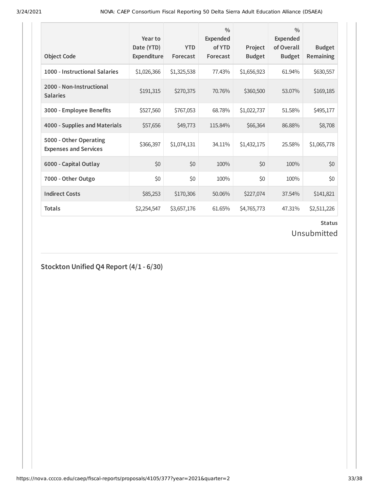| <b>Object Code</b>                                     | Year to<br>Date (YTD)<br>Expenditure | <b>YTD</b><br>Forecast | $\frac{0}{0}$<br><b>Expended</b><br>of YTD<br>Forecast | Project<br><b>Budget</b> | $\frac{0}{0}$<br><b>Expended</b><br>of Overall<br><b>Budget</b> | <b>Budget</b><br>Remaining |
|--------------------------------------------------------|--------------------------------------|------------------------|--------------------------------------------------------|--------------------------|-----------------------------------------------------------------|----------------------------|
| 1000 - Instructional Salaries                          | \$1,026,366                          | \$1,325,538            | 77.43%                                                 | \$1,656,923              | 61.94%                                                          | \$630,557                  |
| 2000 - Non-Instructional<br><b>Salaries</b>            | \$191,315                            | \$270,375              | 70.76%                                                 | \$360,500                | 53.07%                                                          | \$169,185                  |
| 3000 - Employee Benefits                               | \$527,560                            | \$767,053              | 68.78%                                                 | \$1,022,737              | 51.58%                                                          | \$495,177                  |
| 4000 - Supplies and Materials                          | \$57,656                             | \$49,773               | 115.84%                                                | \$66,364                 | 86.88%                                                          | \$8,708                    |
| 5000 - Other Operating<br><b>Expenses and Services</b> | \$366,397                            | \$1,074,131            | 34.11%                                                 | \$1,432,175              | 25.58%                                                          | \$1,065,778                |
| 6000 - Capital Outlay                                  | \$0                                  | \$0                    | 100%                                                   | \$0                      | 100%                                                            | \$0                        |
| 7000 - Other Outgo                                     | \$0                                  | \$0                    | 100%                                                   | \$0                      | 100%                                                            | \$0                        |
| <b>Indirect Costs</b>                                  | \$85,253                             | \$170,306              | 50.06%                                                 | \$227,074                | 37.54%                                                          | \$141,821                  |
| <b>Totals</b>                                          | \$2,254,547                          | \$3,657,176            | 61.65%                                                 | \$4,765,773              | 47.31%                                                          | \$2,511,226                |

Unsubmitted

## **Stockton Unified Q4 Report (4/1 - 6/30)**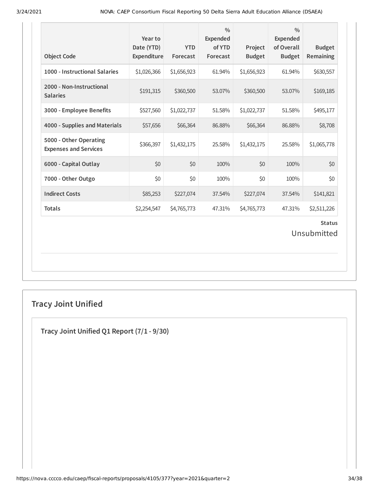| <b>Object Code</b>                                     | Year to<br>Date (YTD)<br>Expenditure | <b>YTD</b><br>Forecast | $\frac{0}{0}$<br><b>Expended</b><br>of YTD<br>Forecast | Project<br><b>Budget</b> | $\frac{0}{0}$<br><b>Expended</b><br>of Overall<br><b>Budget</b> | <b>Budget</b><br>Remaining   |
|--------------------------------------------------------|--------------------------------------|------------------------|--------------------------------------------------------|--------------------------|-----------------------------------------------------------------|------------------------------|
| 1000 - Instructional Salaries                          | \$1,026,366                          | \$1,656,923            | 61.94%                                                 | \$1,656,923              | 61.94%                                                          | \$630,557                    |
| 2000 - Non-Instructional<br><b>Salaries</b>            | \$191,315                            | \$360,500              | 53.07%                                                 | \$360,500                | 53.07%                                                          | \$169,185                    |
| 3000 - Employee Benefits                               | \$527,560                            | \$1,022,737            | 51.58%                                                 | \$1,022,737              | 51.58%                                                          | \$495,177                    |
| 4000 - Supplies and Materials                          | \$57,656                             | \$66,364               | 86.88%                                                 | \$66,364                 | 86.88%                                                          | \$8,708                      |
| 5000 - Other Operating<br><b>Expenses and Services</b> | \$366,397                            | \$1,432,175            | 25.58%                                                 | \$1,432,175              | 25.58%                                                          | \$1,065,778                  |
| 6000 - Capital Outlay                                  | \$0                                  | \$0                    | 100%                                                   | \$0                      | 100%                                                            | \$0                          |
| 7000 - Other Outgo                                     | \$0                                  | \$0                    | 100%                                                   | \$0                      | 100%                                                            | \$0                          |
| <b>Indirect Costs</b>                                  | \$85,253                             | \$227,074              | 37.54%                                                 | \$227,074                | 37.54%                                                          | \$141,821                    |
| <b>Totals</b>                                          | \$2,254,547                          | \$4,765,773            | 47.31%                                                 | \$4,765,773              | 47.31%                                                          | \$2,511,226                  |
|                                                        |                                      |                        |                                                        |                          |                                                                 | <b>Status</b><br>Unsubmitted |

## **Tracy Joint Unified**

**Tracy Joint Unified Q1 Report (7/1 - 9/30)**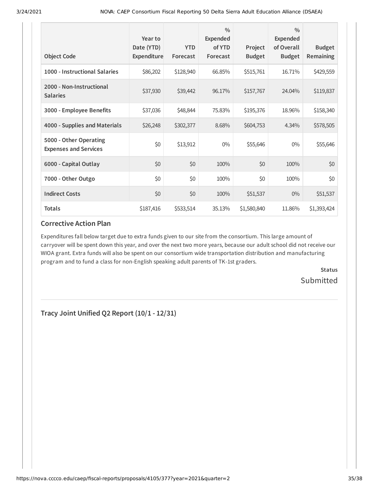| <b>Object Code</b>                                     | Year to<br>Date (YTD)<br>Expenditure | <b>YTD</b><br>Forecast | $\frac{0}{0}$<br>Expended<br>of YTD<br>Forecast | Project<br><b>Budget</b> | $\frac{0}{0}$<br><b>Expended</b><br>of Overall<br><b>Budget</b> | <b>Budget</b><br><b>Remaining</b> |
|--------------------------------------------------------|--------------------------------------|------------------------|-------------------------------------------------|--------------------------|-----------------------------------------------------------------|-----------------------------------|
| 1000 - Instructional Salaries                          | \$86,202                             | \$128,940              | 66.85%                                          | \$515,761                | 16.71%                                                          | \$429,559                         |
| 2000 - Non-Instructional<br><b>Salaries</b>            | \$37,930                             | \$39,442               | 96.17%                                          | \$157,767                | 24.04%                                                          | \$119,837                         |
| 3000 - Employee Benefits                               | \$37,036                             | \$48,844               | 75.83%                                          | \$195,376                | 18.96%                                                          | \$158,340                         |
| 4000 - Supplies and Materials                          | \$26,248                             | \$302,377              | 8.68%                                           | \$604,753                | 4.34%                                                           | \$578,505                         |
| 5000 - Other Operating<br><b>Expenses and Services</b> | \$0                                  | \$13,912               | $0\%$                                           | \$55,646                 | $0\%$                                                           | \$55,646                          |
| 6000 - Capital Outlay                                  | \$0                                  | \$0                    | 100%                                            | \$0                      | 100%                                                            | \$0                               |
| 7000 - Other Outgo                                     | \$0                                  | \$0                    | 100%                                            | \$0                      | 100%                                                            | \$0                               |
| <b>Indirect Costs</b>                                  | \$0                                  | \$0                    | 100%                                            | \$51,537                 | $0\%$                                                           | \$51,537                          |
| <b>Totals</b>                                          | \$187,416                            | \$533,514              | 35.13%                                          | \$1,580,840              | 11.86%                                                          | \$1,393,424                       |

Expenditures fall below target due to extra funds given to our site from the consortium. This large amount of carryover will be spent down this year, and over the next two more years, because our adult school did not receive our WIOA grant. Extra funds will also be spent on our consortium wide transportation distribution and manufacturing program and to fund a class for non-English speaking adult parents of TK-1st graders.

> **Status Submitted**

**Tracy Joint Unified Q2 Report (10/1 - 12/31)**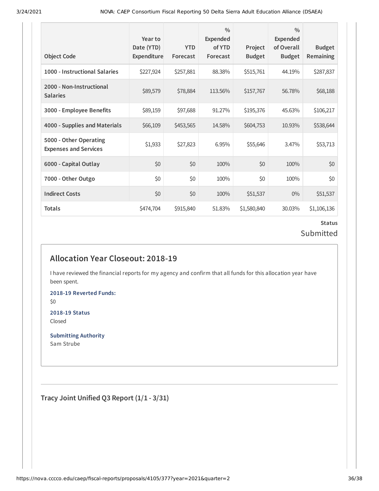| <b>Object Code</b>                                     | Year to<br>Date (YTD)<br>Expenditure | <b>YTD</b><br>Forecast | $\frac{0}{0}$<br><b>Expended</b><br>of YTD<br>Forecast | Project<br><b>Budget</b> | $\frac{0}{0}$<br>Expended<br>of Overall<br><b>Budget</b> | <b>Budget</b><br>Remaining |
|--------------------------------------------------------|--------------------------------------|------------------------|--------------------------------------------------------|--------------------------|----------------------------------------------------------|----------------------------|
| 1000 - Instructional Salaries                          | \$227,924                            | \$257,881              | 88.38%                                                 | \$515,761                | 44.19%                                                   | \$287,837                  |
| 2000 - Non-Instructional<br><b>Salaries</b>            | \$89,579                             | \$78,884               | 113.56%                                                | \$157,767                | 56.78%                                                   | \$68,188                   |
| 3000 - Employee Benefits                               | \$89,159                             | \$97,688               | 91.27%                                                 | \$195,376                | 45.63%                                                   | \$106,217                  |
| 4000 - Supplies and Materials                          | \$66,109                             | \$453,565              | 14.58%                                                 | \$604,753                | 10.93%                                                   | \$538,644                  |
| 5000 - Other Operating<br><b>Expenses and Services</b> | \$1,933                              | \$27,823               | 6.95%                                                  | \$55,646                 | 3.47%                                                    | \$53,713                   |
| 6000 - Capital Outlay                                  | \$0                                  | \$0                    | 100%                                                   | \$0                      | 100%                                                     | \$0                        |
| 7000 - Other Outgo                                     | \$0                                  | \$0                    | 100%                                                   | \$0                      | 100%                                                     | \$0                        |
| <b>Indirect Costs</b>                                  | \$0                                  | \$0                    | 100%                                                   | \$51,537                 | $0\%$                                                    | \$51,537                   |
| Totals                                                 | \$474,704                            | \$915,840              | 51.83%                                                 | \$1,580,840              | 30.03%                                                   | \$1,106,136                |

### **Status** Submitted

## **Allocation Year Closeout: 2018-19**

I have reviewed the financial reports for my agency and confirm that all funds for this allocation year have been spent.

**2018-19 Reverted Funds:** \$0

**2018-19 Status** Closed

**Submitting Authority** Sam Strube

**Tracy Joint Unified Q3 Report (1/1 - 3/31)**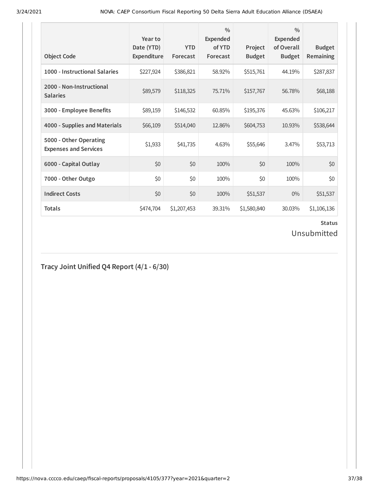| <b>Object Code</b>                                     | Year to<br>Date (YTD)<br>Expenditure | <b>YTD</b><br>Forecast | $\frac{0}{0}$<br>Expended<br>of YTD<br>Forecast | Project<br><b>Budget</b> | $\frac{0}{0}$<br><b>Expended</b><br>of Overall<br><b>Budget</b> | <b>Budget</b><br><b>Remaining</b> |
|--------------------------------------------------------|--------------------------------------|------------------------|-------------------------------------------------|--------------------------|-----------------------------------------------------------------|-----------------------------------|
| 1000 - Instructional Salaries                          | \$227,924                            | \$386,821              | 58.92%                                          | \$515,761                | 44.19%                                                          | \$287,837                         |
| 2000 - Non-Instructional<br><b>Salaries</b>            | \$89,579                             | \$118,325              | 75.71%                                          | \$157,767                | 56.78%                                                          | \$68,188                          |
| 3000 - Employee Benefits                               | \$89,159                             | \$146,532              | 60.85%                                          | \$195,376                | 45.63%                                                          | \$106,217                         |
| 4000 - Supplies and Materials                          | \$66,109                             | \$514,040              | 12.86%                                          | \$604,753                | 10.93%                                                          | \$538,644                         |
| 5000 - Other Operating<br><b>Expenses and Services</b> | \$1,933                              | \$41,735               | 4.63%                                           | \$55,646                 | 3.47%                                                           | \$53,713                          |
| 6000 - Capital Outlay                                  | \$0                                  | \$0                    | 100%                                            | \$0                      | 100%                                                            | \$0                               |
| 7000 - Other Outgo                                     | \$0                                  | \$0                    | 100%                                            | \$0                      | 100%                                                            | \$0                               |
| <b>Indirect Costs</b>                                  | \$0                                  | \$0                    | 100%                                            | \$51,537                 | $0\%$                                                           | \$51,537                          |
| <b>Totals</b>                                          | \$474,704                            | \$1,207,453            | 39.31%                                          | \$1,580,840              | 30.03%                                                          | \$1,106,136                       |

Unsubmitted

## **Tracy Joint Unified Q4 Report (4/1 - 6/30)**